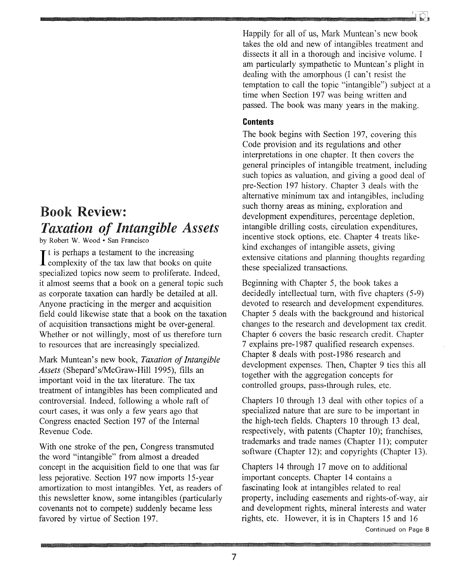# Book Review: *Taxation of Intangible Assets*

by Robert W. Wood· San Francisco

It is perhaps a testament to the increasing<br>complexity of the tax law that books on quite  $\mathbf{T}$  t is perhaps a testament to the increasing specialized topics now seem to proliferate. Indeed, it almost seems that a book on a general topic such as corporate taxation can hardly be detailed at all. Anyone practicing in the merger and acquisition field could likewise state that a book on the taxation of acquisition transactions might be over-general. Whether or not willingly, most of us therefore turn to resources that are increasingly specialized.

Mark Muntean's new book, *Taxation of Intangible Assets* (Shepard's/McGraw-Hill 1995), fills an important void in the tax literature. The tax treatment of intangibles has been complicated and controversial. Indeed, following a whole raft of court cases, it was only a few years ago that Congress enacted Section 197 of the Internal Revenue Code.

With one stroke of the pen, Congress transmuted the word "intangible" from almost a dreaded concept in the acquisition field to one that was far less pejorative. Section 197 now imports 15-year amortization to most intangibles. Yet, as readers of this newsletter know, some intangibles (particularly covenants not to compete) suddenly became less favored by virtue of Section 197.

Happily for all of us, Mark Muntean's new book takes the old and new of intangibles treatment and dissects it all in a thorough and incisive volume. I am particularly sympathetic to Muntean's plight in dealing with the amorphous (I can't resist the temptation to call the topic "intangible") subject at a time when Section 197 was being written and passed. The book was many years in the making.

### **Contents**

The book begins with Section 197, covering this Code provision and its regulations and other interpretations in one chapter. It then covers the general principles of intangible treatment, including such topics as valuation, and giving a good deal of pre-Section 197 history. Chapter 3 deals with the alternative minimum tax and intangibles, including such thorny areas as mining, exploration and development expenditures, percentage depletion, intangible drilling costs, circulation expenditures, incentive stock options, etc. Chapter 4 treats likekind exchanges of intangible assets, giving extensive citations and planning thoughts regarding these specialized transactions.

Beginning with Chapter 5, the book takes a decidedly intellectual turn, with five chapters (5-9) devoted to research and development expenditures. Chapter 5 deals with the background and historical changes to the research and development tax credit. Chapter 6 covers the basic research credit. Chapter 7 explains pre-1987 qualified research expenses. Chapter 8 deals with post-1986 research and development expenses. Then, Chapter 9 ties this all together with the aggregation concepts for controlled groups, pass-through rules, etc.

Chapters 10 through 13 deal with other topics of a specialized nature that are sure to be important in the high-tech fields. Chapters 10 through 13 deal, respectively, with patents (Chapter 10); franchises, trademarks and trade names (Chapter 11); computer software (Chapter 12); and copyrights (Chapter 13).

Chapters 14 through 17 move on to additional important concepts. Chapter 14 contains a fascinating look at intangibles related to real property, including easements and rights-of-way, air and development rights, mineral interests and water rights, etc. However, it is in Chapters 15 and 16 Continued on Page 8